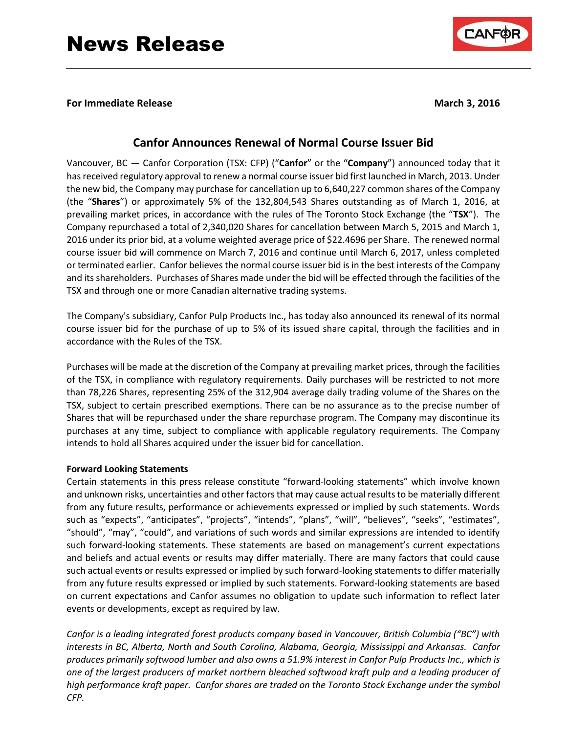## **For Immediate Release March 3, 2016**



Vancouver, BC — Canfor Corporation (TSX: CFP) ("**Canfor**" or the "**Company**") announced today that it has received regulatory approval to renew a normal course issuer bid first launched in March, 2013. Under the new bid, the Company may purchase for cancellation up to 6,640,227 common shares of the Company (the "**Shares**") or approximately 5% of the 132,804,543 Shares outstanding as of March 1, 2016, at prevailing market prices, in accordance with the rules of The Toronto Stock Exchange (the "**TSX**"). The Company repurchased a total of 2,340,020 Shares for cancellation between March 5, 2015 and March 1, 2016 under its prior bid, at a volume weighted average price of \$22.4696 per Share. The renewed normal course issuer bid will commence on March 7, 2016 and continue until March 6, 2017, unless completed or terminated earlier. Canfor believes the normal course issuer bid is in the best interests of the Company and its shareholders. Purchases of Shares made under the bid will be effected through the facilities of the TSX and through one or more Canadian alternative trading systems.

The Company's subsidiary, Canfor Pulp Products Inc., has today also announced its renewal of its normal course issuer bid for the purchase of up to 5% of its issued share capital, through the facilities and in accordance with the Rules of the TSX.

Purchases will be made at the discretion of the Company at prevailing market prices, through the facilities of the TSX, in compliance with regulatory requirements. Daily purchases will be restricted to not more than 78,226 Shares, representing 25% of the 312,904 average daily trading volume of the Shares on the TSX, subject to certain prescribed exemptions. There can be no assurance as to the precise number of Shares that will be repurchased under the share repurchase program. The Company may discontinue its purchases at any time, subject to compliance with applicable regulatory requirements. The Company intends to hold all Shares acquired under the issuer bid for cancellation.

## **Forward Looking Statements**

Certain statements in this press release constitute "forward-looking statements" which involve known and unknown risks, uncertainties and other factors that may cause actual results to be materially different from any future results, performance or achievements expressed or implied by such statements. Words such as "expects", "anticipates", "projects", "intends", "plans", "will", "believes", "seeks", "estimates", "should", "may", "could", and variations of such words and similar expressions are intended to identify such forward-looking statements. These statements are based on management's current expectations and beliefs and actual events or results may differ materially. There are many factors that could cause such actual events or results expressed or implied by such forward-looking statements to differ materially from any future results expressed or implied by such statements. Forward-looking statements are based on current expectations and Canfor assumes no obligation to update such information to reflect later events or developments, except as required by law.

*Canfor is a leading integrated forest products company based in Vancouver, British Columbia ("BC") with interests in BC, Alberta, North and South Carolina, Alabama, Georgia, Mississippi and Arkansas. Canfor produces primarily softwood lumber and also owns a 51.9% interest in Canfor Pulp Products Inc., which is one of the largest producers of market northern bleached softwood kraft pulp and a leading producer of high performance kraft paper. Canfor shares are traded on the Toronto Stock Exchange under the symbol CFP.*